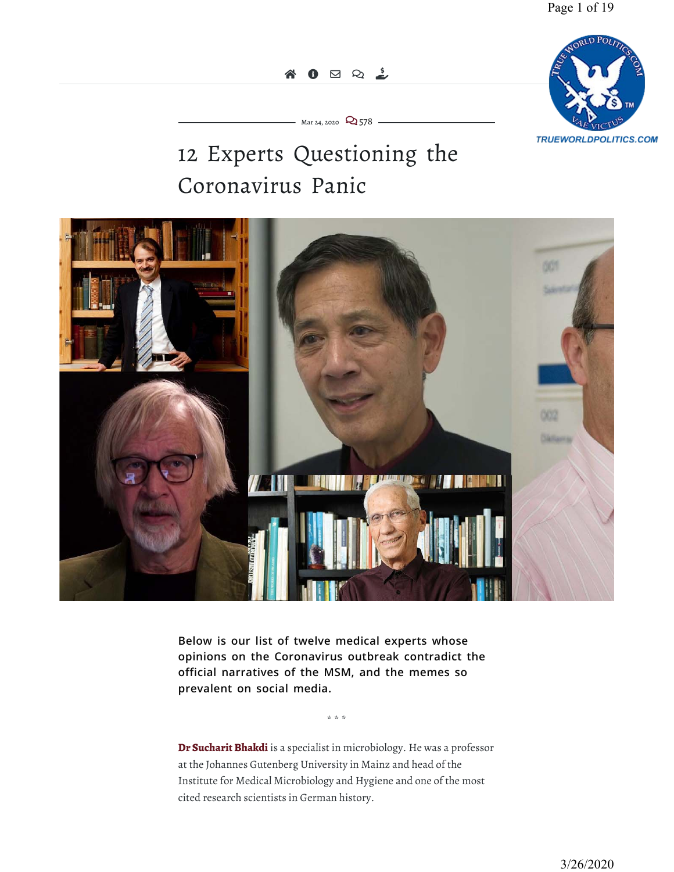Page 1 of 19

# $0$   $\boxtimes$   $\cong$   $\stackrel{\circ}{\sim}$



 $-Mar 24, 2020$   $\mathcal{Q}_{578}$ 

# [12 Experts Questioning the](https://off-guardian.org/2020/03/24/12-experts-questioning-the-coronavirus-panic)  Coronavirus Panic



**Below is our list of twelve medical experts whose opinions on the Coronavirus outbreak contradict the official narratives of the MSM, and the memes so prevalent on social media.**

**Dr Sucharit Bhakdi** is a specialist in microbiology. He was a professor at the Johannes Gutenberg University in Mainz and head of the Institute for Medical Microbiology and Hygiene and one of the most cited research scientists in German history.

\* \* \*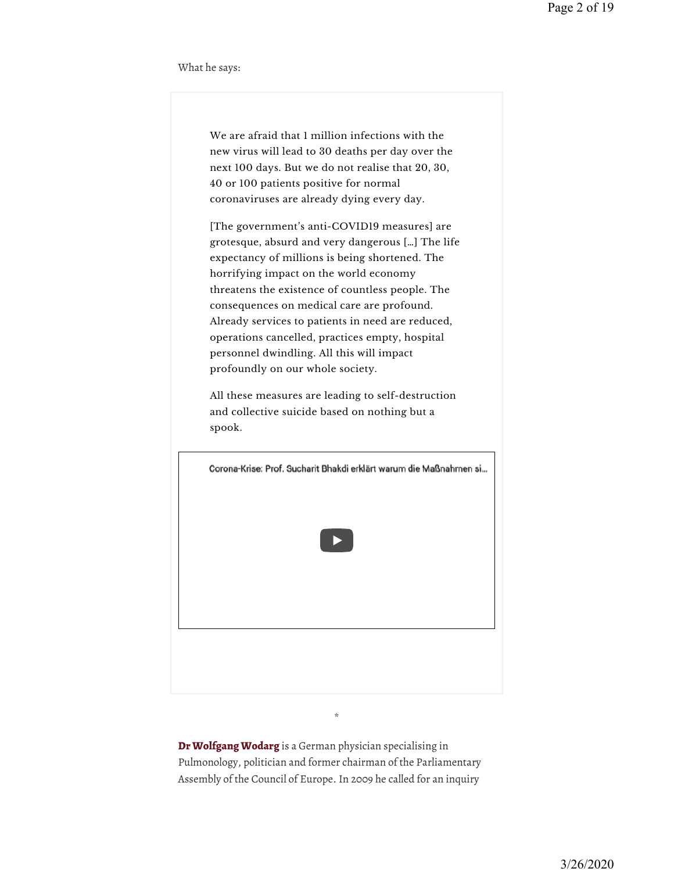What he says:

We are afraid that 1 million infections with the new virus will lead to 30 deaths per day over the next 100 days. But we do not realise that 20, 30, 40 or 100 patients positive for normal coronaviruses are already dying every day.

[The government's anti-COVID19 measures] are grotesque, absurd and very dangerous […] The life expectancy of millions is being shortened. The horrifying impact on the world economy threatens the existence of countless people. The consequences on medical care are profound. Already services to patients in need are reduced, operations cancelled, practices empty, hospital personnel dwindling. All this will impact profoundly on our whole society.

All these measures are leading to self-destruction and collective suicide based on nothing but a spook.



**Dr Wolfgang Wodarg** is a German physician specialising in Pulmonology, politician and former chairman of the Parliamentary Assembly of the Council of Europe. In 2009 he called for an inquiry

\*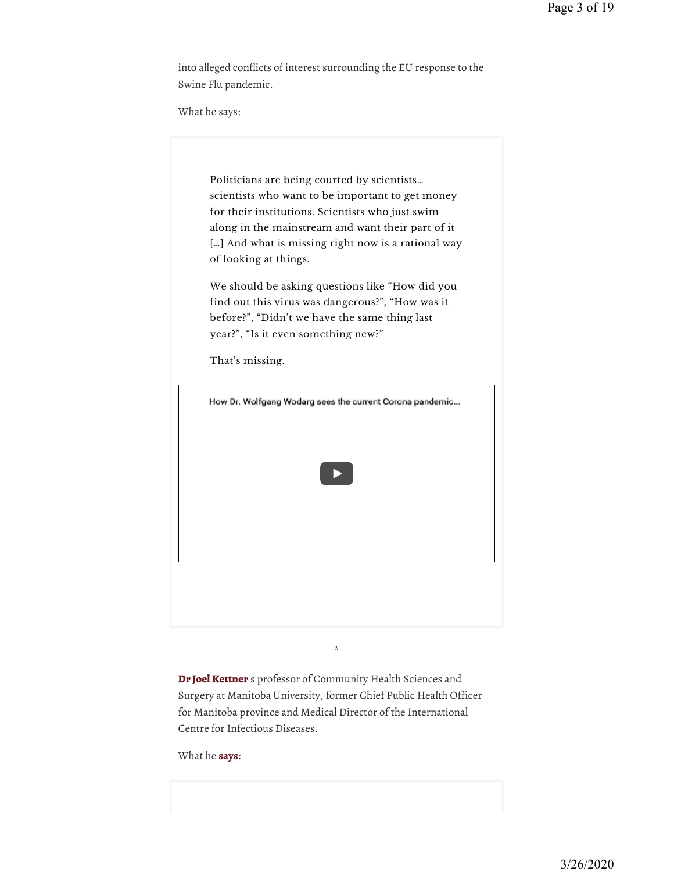into alleged conflicts of interest surrounding the EU response to the Swine Flu pandemic.

What he says:

Politicians are being courted by scientists… scientists who want to be important to get money for their institutions. Scientists who just swim along in the mainstream and want their part of it [...] And what is missing right now is a rational way of looking at things.

We should be asking questions like "How did you find out this virus was dangerous?", "How was it before?", "Didn't we have the same thing last year?", "Is it even something new?"



That's missing.

**Dr Joel Kettner** s professor of Community Health Sciences and Surgery at Manitoba University, former Chief Public Health Officer for Manitoba province and Medical Director of the International Centre for Infectious Diseases.

\*

What he **says**: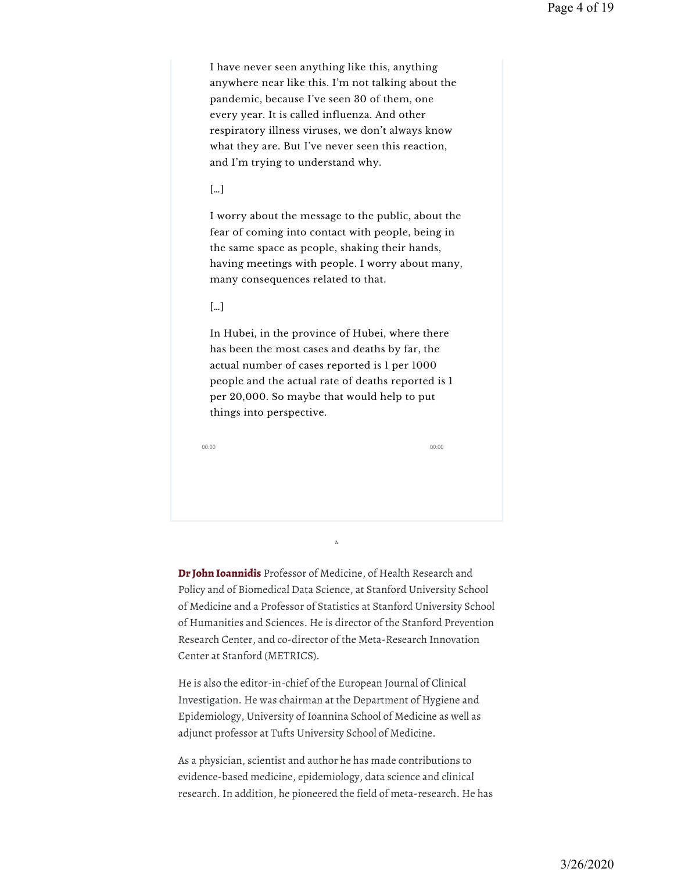I have never seen anything like this, anything anywhere near like this. I'm not talking about the pandemic, because I've seen 30 of them, one every year. It is called influenza. And other respiratory illness viruses, we don't always know what they are. But I've never seen this reaction, and I'm trying to understand why.

## […]

I worry about the message to the public, about the fear of coming into contact with people, being in the same space as people, shaking their hands, having meetings with people. I worry about many, many consequences related to that.

## […]

In Hubei, in the province of Hubei, where there has been the most cases and deaths by far, the actual number of cases reported is 1 per 1000 people and the actual rate of deaths reported is 1 per 20,000. So maybe that would help to put things into perspective.

00:00 00:00

**Dr John Ioannidis** Professor of Medicine, of Health Research and Policy and of Biomedical Data Science, at Stanford University School of Medicine and a Professor of Statistics at Stanford University School of Humanities and Sciences. He is director of the Stanford Prevention Research Center, and co-director of the Meta-Research Innovation Center at Stanford (METRICS).

\*

He is also the editor-in-chief of the European Journal of Clinical Investigation. He was chairman at the Department of Hygiene and Epidemiology, University of Ioannina School of Medicine as well as adjunct professor at Tufts University School of Medicine.

As a physician, scientist and author he has made contributions to evidence-based medicine, epidemiology, data science and clinical research. In addition, he pioneered the field of meta-research. He has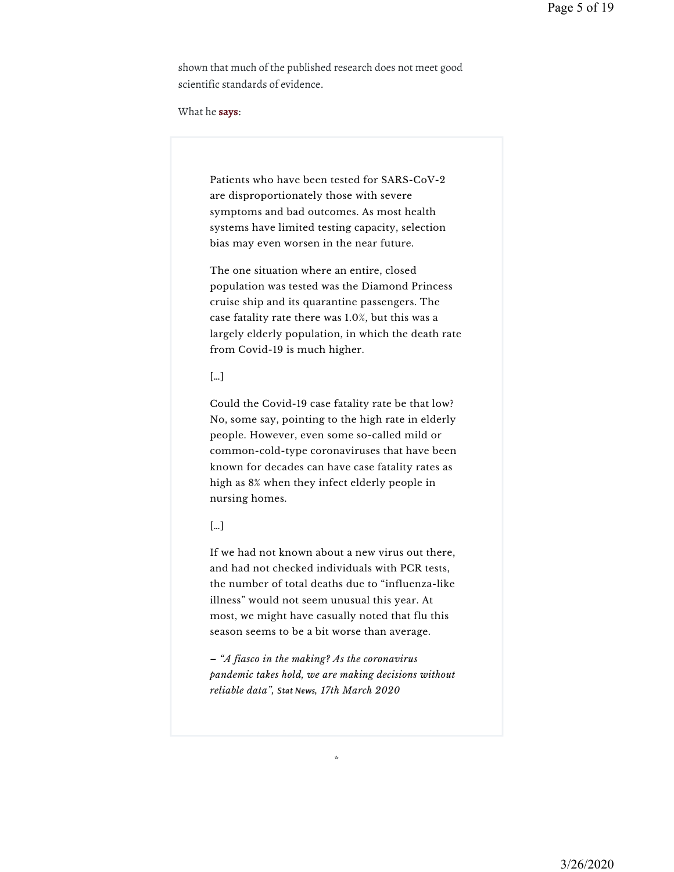shown that much of the published research does not meet good scientific standards of evidence.

What he **says**:

Patients who have been tested for SARS-CoV-2 are disproportionately those with severe symptoms and bad outcomes. As most health systems have limited testing capacity, selection bias may even worsen in the near future.

The one situation where an entire, closed population was tested was the Diamond Princess cruise ship and its quarantine passengers. The case fatality rate there was 1.0%, but this was a largely elderly population, in which the death rate from Covid-19 is much higher.

# […]

Could the Covid-19 case fatality rate be that low? No, some say, pointing to the high rate in elderly people. However, even some so-called mild or common-cold-type coronaviruses that have been known for decades can have case fatality rates as high as 8% when they infect elderly people in nursing homes.

# […]

If we had not known about a new virus out there, and had not checked individuals with PCR tests, the number of total deaths due to "influenza-like illness" would not seem unusual this year. At most, we might have casually noted that flu this season seems to be a bit worse than average.

*– "A fiasco in the making? As the coronavirus pandemic takes hold, we are making decisions without reliable data", Stat News, 17th March 2020* 

\*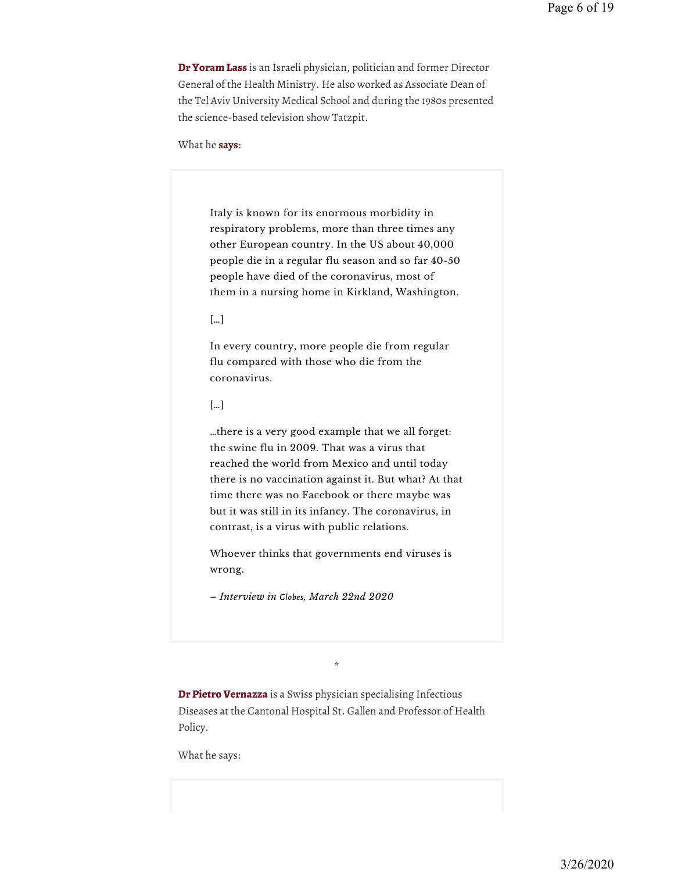Dr Yoram Lass is an Israeli physician, politician and former Director General of the Health Ministry. He also worked as Associate Dean of the Tel Aviv University Medical School and during the 1980s presented the science-based television show Tatzpit.

What he **says**:

Italy is known for its enormous morbidity in respiratory problems, more than three times any other European country. In the US about 40,000 people die in a regular flu season and so far 40-50 people have died of the coronavirus, most of them in a nursing home in Kirkland, Washington.

## […]

In every country, more people die from regular flu compared with those who die from the coronavirus.

# […]

…there is a very good example that we all forget: the swine flu in 2009. That was a virus that reached the world from Mexico and until today there is no vaccination against it. But what? At that time there was no Facebook or there maybe was but it was still in its infancy. The coronavirus, in contrast, is a virus with public relations.

Whoever thinks that governments end viruses is wrong.

*– Interview in Globes, March 22nd 2020*

Dr Pietro Vernazza is a Swiss physician specialising Infectious Diseases at the Cantonal Hospital St. Gallen and Professor of Health Policy.

\*

What he says: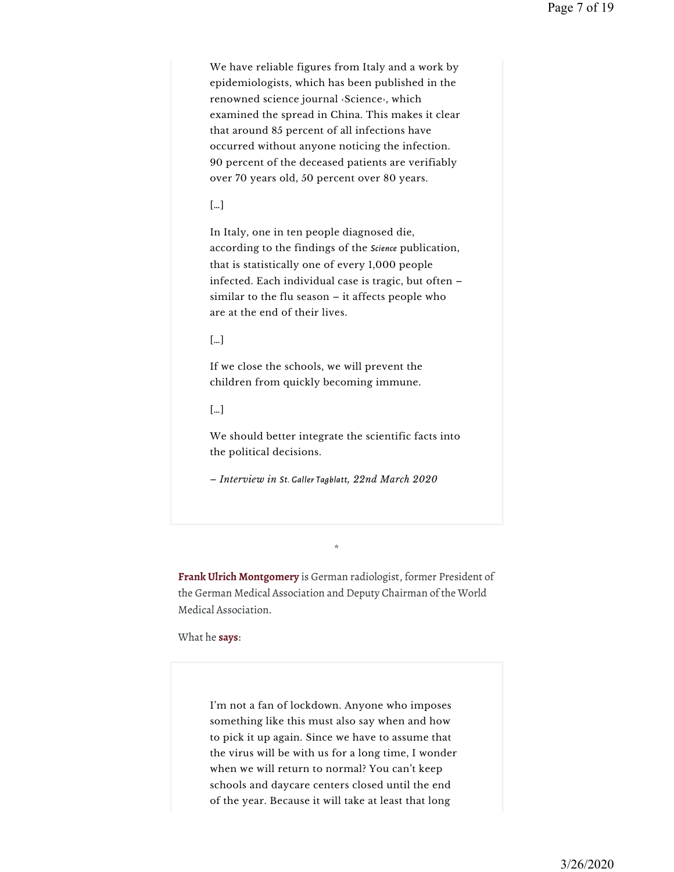We have reliable figures from Italy and a work by epidemiologists, which has been published in the renowned science journal ‹Science›, which examined the spread in China. This makes it clear that around 85 percent of all infections have occurred without anyone noticing the infection. 90 percent of the deceased patients are verifiably over 70 years old, 50 percent over 80 years.

# […]

In Italy, one in ten people diagnosed die, according to the findings of the *Science* publication, that is statistically one of every 1,000 people infected. Each individual case is tragic, but often – similar to the flu season – it affects people who are at the end of their lives.

[…]

If we close the schools, we will prevent the children from quickly becoming immune.

[…]

We should better integrate the scientific facts into the political decisions.

*– Interview in St. Galler Tagblatt, 22nd March 2020* 

**Frank Ulrich Montgomery** is German radiologist, former President of the German Medical Association and Deputy Chairman of the World Medical Association.

\*

What he **says**:

I'm not a fan of lockdown. Anyone who imposes something like this must also say when and how to pick it up again. Since we have to assume that the virus will be with us for a long time, I wonder when we will return to normal? You can't keep schools and daycare centers closed until the end of the year. Because it will take at least that long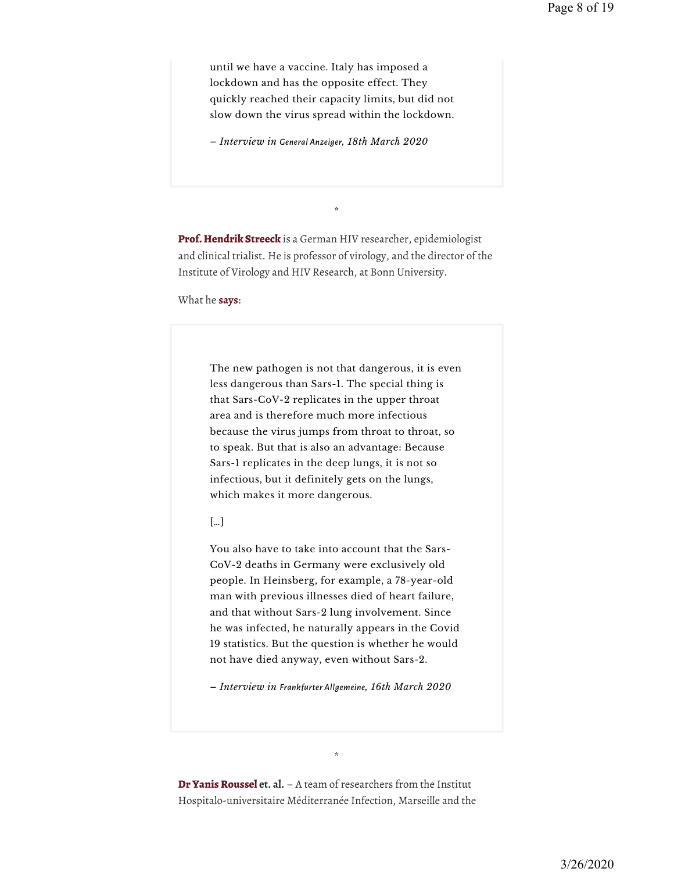until we have a vaccine. Italy has imposed a lockdown and has the opposite effect. They quickly reached their capacity limits, but did not slow down the virus spread within the lockdown.

*– Interview in General Anzeiger, 18th March 2020*

Prof. Hendrik Streeck is a German HIV researcher, epidemiologist and clinical trialist. He is professor of virology, and the director of the Institute of Virology and HIV Research, at Bonn University.

\*

What he **says**:

The new pathogen is not that dangerous, it is even less dangerous than Sars-1. The special thing is that Sars-CoV-2 replicates in the upper throat area and is therefore much more infectious because the virus jumps from throat to throat, so to speak. But that is also an advantage: Because Sars-1 replicates in the deep lungs, it is not so infectious, but it definitely gets on the lungs, which makes it more dangerous.

# […]

You also have to take into account that the Sars-CoV-2 deaths in Germany were exclusively old people. In Heinsberg, for example, a 78-year-old man with previous illnesses died of heart failure, and that without Sars-2 lung involvement. Since he was infected, he naturally appears in the Covid 19 statistics. But the question is whether he would not have died anyway, even without Sars-2.

*– Interview in Frankfurter Allgemeine, 16th March 2020*

\*

Dr Yanis Roussel **et. al.** – A team of researchers from the Institut Hospitalo-universitaire Méditerranée Infection, Marseille and the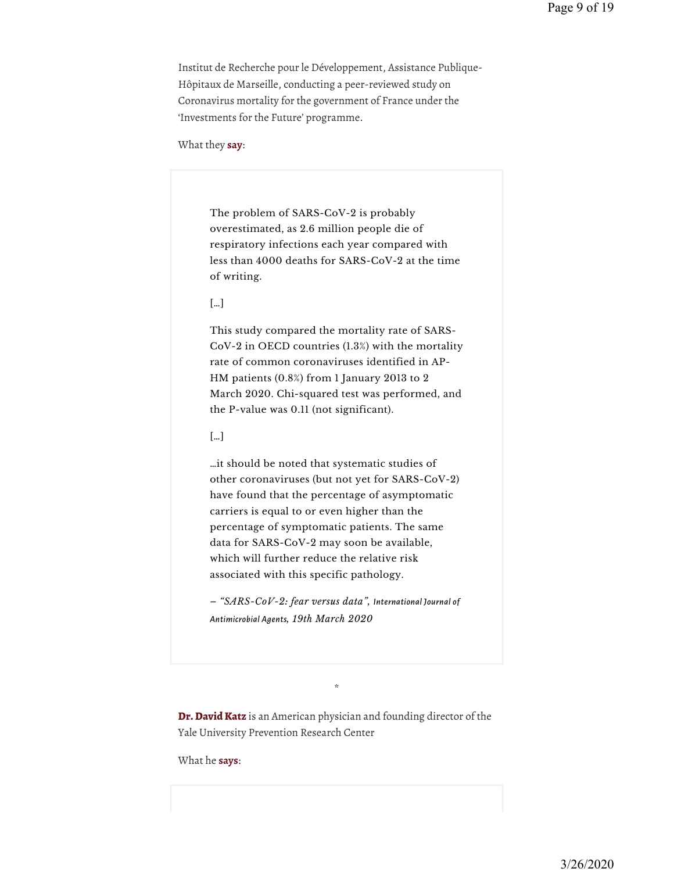Institut de Recherche pour le Développement, Assistance Publique-Hôpitaux de Marseille, conducting a peer-reviewed study on Coronavirus mortality for the government of France under the 'Investments for the Future' programme.

What they **say**:

The problem of SARS-CoV-2 is probably overestimated, as 2.6 million people die of respiratory infections each year compared with less than 4000 deaths for SARS-CoV-2 at the time of writing.

# […]

This study compared the mortality rate of SARS-CoV-2 in OECD countries (1.3%) with the mortality rate of common coronaviruses identified in AP-HM patients (0.8%) from 1 January 2013 to 2 March 2020. Chi-squared test was performed, and the P-value was 0.11 (not significant).

## […]

…it should be noted that systematic studies of other coronaviruses (but not yet for SARS-CoV-2) have found that the percentage of asymptomatic carriers is equal to or even higher than the percentage of symptomatic patients. The same data for SARS-CoV-2 may soon be available, which will further reduce the relative risk associated with this specific pathology.

*– "SARS-CoV-2: fear versus data", International Journal of Antimicrobial Agents, 19th March 2020*

Dr. David Katz is an American physician and founding director of the Yale University Prevention Research Center

\*

What he **says**: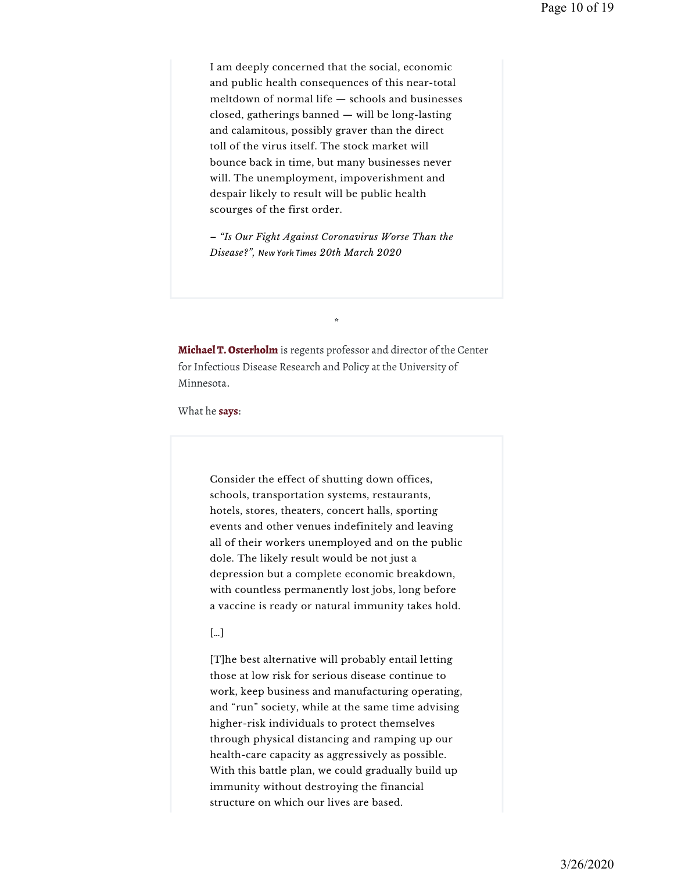I am deeply concerned that the social, economic and public health consequences of this near-total meltdown of normal life — schools and businesses closed, gatherings banned — will be long-lasting and calamitous, possibly graver than the direct toll of the virus itself. The stock market will bounce back in time, but many businesses never will. The unemployment, impoverishment and despair likely to result will be public health scourges of the first order.

*– "Is Our Fight Against Coronavirus Worse Than the Disease?", New York Times 20th March 2020* 

Michael T. Osterholm is regents professor and director of the Center for Infectious Disease Research and Policy at the University of Minnesota.

\*

What he **says**:

Consider the effect of shutting down offices, schools, transportation systems, restaurants, hotels, stores, theaters, concert halls, sporting events and other venues indefinitely and leaving all of their workers unemployed and on the public dole. The likely result would be not just a depression but a complete economic breakdown, with countless permanently lost jobs, long before a vaccine is ready or natural immunity takes hold.

# […]

[T]he best alternative will probably entail letting those at low risk for serious disease continue to work, keep business and manufacturing operating, and "run" society, while at the same time advising higher-risk individuals to protect themselves through physical distancing and ramping up our health-care capacity as aggressively as possible. With this battle plan, we could gradually build up immunity without destroying the financial structure on which our lives are based.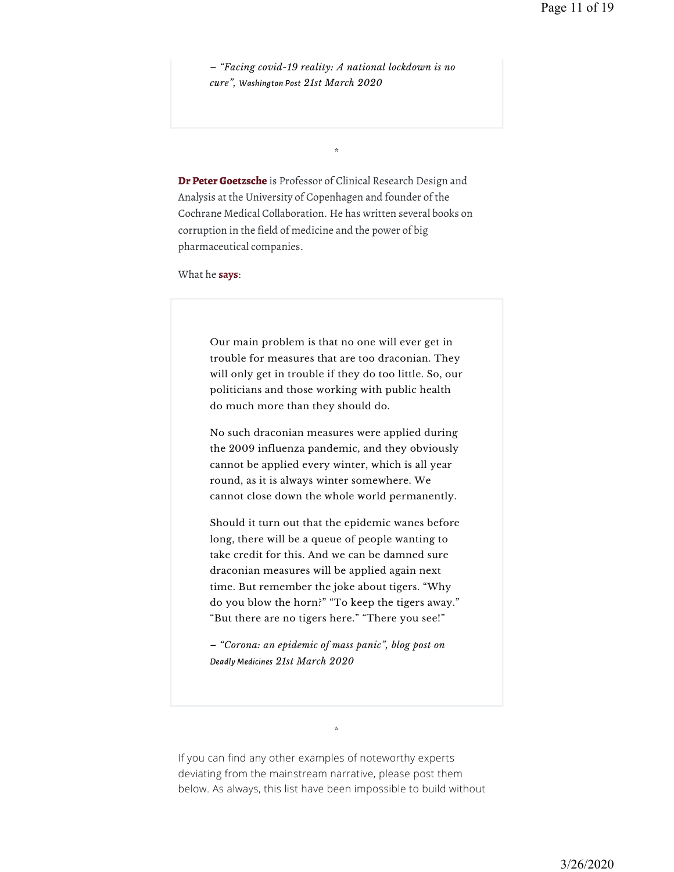*– "Facing covid-19 reality: A national lockdown is no cure", Washington Post 21st March 2020*

\*

Dr Peter Goetzsche is Professor of Clinical Research Design and Analysis at the University of Copenhagen and founder of the Cochrane Medical Collaboration. He has written several books on corruption in the field of medicine and the power of big pharmaceutical companies.

What he **says**:

Our main problem is that no one will ever get in trouble for measures that are too draconian. They will only get in trouble if they do too little. So, our politicians and those working with public health do much more than they should do.

No such draconian measures were applied during the 2009 influenza pandemic, and they obviously cannot be applied every winter, which is all year round, as it is always winter somewhere. We cannot close down the whole world permanently.

Should it turn out that the epidemic wanes before long, there will be a queue of people wanting to take credit for this. And we can be damned sure draconian measures will be applied again next time. But remember the joke about tigers. "Why do you blow the horn?" "To keep the tigers away." "But there are no tigers here." "There you see!"

*– "Corona: an epidemic of mass panic", blog post on Deadly Medicines 21st March 2020*

If you can find any other examples of noteworthy experts deviating from the mainstream narrative, please post them below. As always, this list have been impossible to build without

\*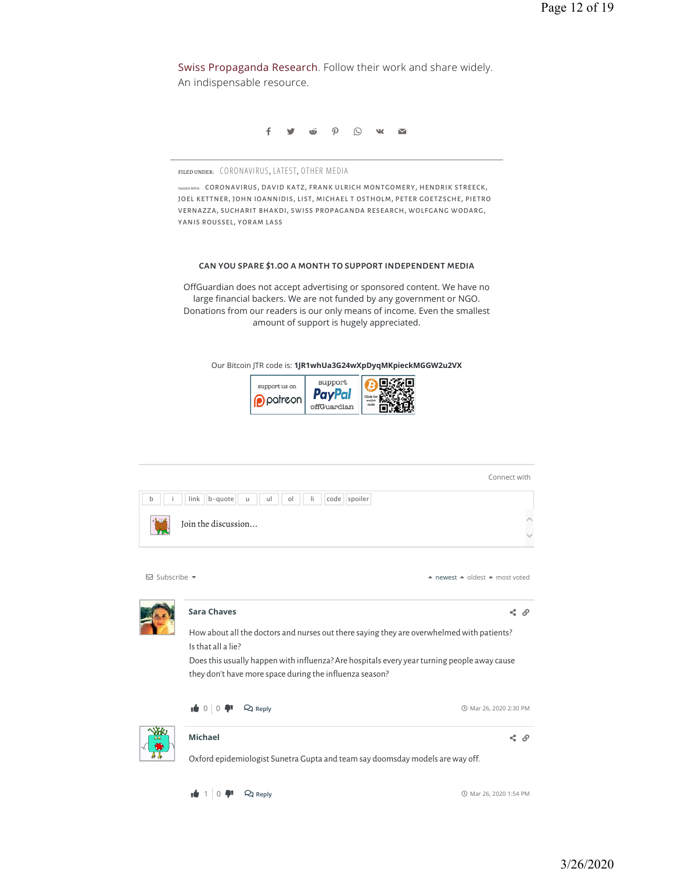|               | An indispensable resource.                                                    |                |         |    |                                  |              | Swiss Propaganda Research. Follow their work and share widely.                                                                                                                                                                             |
|---------------|-------------------------------------------------------------------------------|----------------|---------|----|----------------------------------|--------------|--------------------------------------------------------------------------------------------------------------------------------------------------------------------------------------------------------------------------------------------|
|               |                                                                               | f              |         |    |                                  |              |                                                                                                                                                                                                                                            |
|               | FILED UNDER: CORONAVIRUS, LATEST, OTHER MEDIA<br>YANIS ROUSSEL, YORAM LASS    |                |         |    |                                  |              | TAGGEDWITH: CORONAVIRUS, DAVID KATZ, FRANK ULRICH MONTGOMERY, HENDRIK STREECK,<br>JOEL KETTNER, JOHN IOANNIDIS, LIST, MICHAEL T OSTHOLM, PETER GOETZSCHE, PIETRO<br>VERNAZZA, SUCHARIT BHAKDI, SWISS PROPAGANDA RESEARCH, WOLFGANG WODARG, |
|               |                                                                               |                |         |    |                                  |              | CAN YOU SPARE \$1.00 A MONTH TO SUPPORT INDEPENDENT MEDIA<br>OffGuardian does not accept advertising or sponsored content. We have no<br>large financial backers. We are not funded by any government or NGO.                              |
|               |                                                                               |                |         |    |                                  |              | Donations from our readers is our only means of income. Even the smallest<br>amount of support is hugely appreciated.                                                                                                                      |
|               |                                                                               | support us on  | patreon |    | support<br>PavPal<br>offGuardiar |              | Our Bitcoin JTR code is: 1JR1whUa3G24wXpDyqMKpieckMGGW2u2VX                                                                                                                                                                                |
|               |                                                                               |                |         |    |                                  |              | Connect with                                                                                                                                                                                                                               |
| b             | link<br>b-quote<br>Join the discussion                                        | ul<br>u        | ol      | Ιi |                                  | code spoiler |                                                                                                                                                                                                                                            |
| ⊠ Subscribe ▼ |                                                                               |                |         |    |                                  |              | $\triangle$ newest $\triangle$ oldest $\triangle$ most voted                                                                                                                                                                               |
|               | <b>Sara Chaves</b>                                                            |                |         |    |                                  |              | < ∂                                                                                                                                                                                                                                        |
|               | Is that all a lie?<br>they don't have more space during the influenza season? |                |         |    |                                  |              | How about all the doctors and nurses out there saying they are overwhelmed with patients?<br>Does this usually happen with influenza? Are hospitals every year turning people away cause                                                   |
|               | $\bullet$ 0 0 $\bullet$                                                       | Reply          |         |    |                                  |              | <b>① Mar 26, 2020 2:30 PM</b>                                                                                                                                                                                                              |
|               | <b>Michael</b>                                                                |                |         |    |                                  |              | < ∂<br>Oxford epidemiologist Sunetra Gupta and team say doomsday models are way off.                                                                                                                                                       |
|               |                                                                               | <b>Q</b> Reply |         |    |                                  |              | <b>① Mar 26, 2020 1:54 PM</b>                                                                                                                                                                                                              |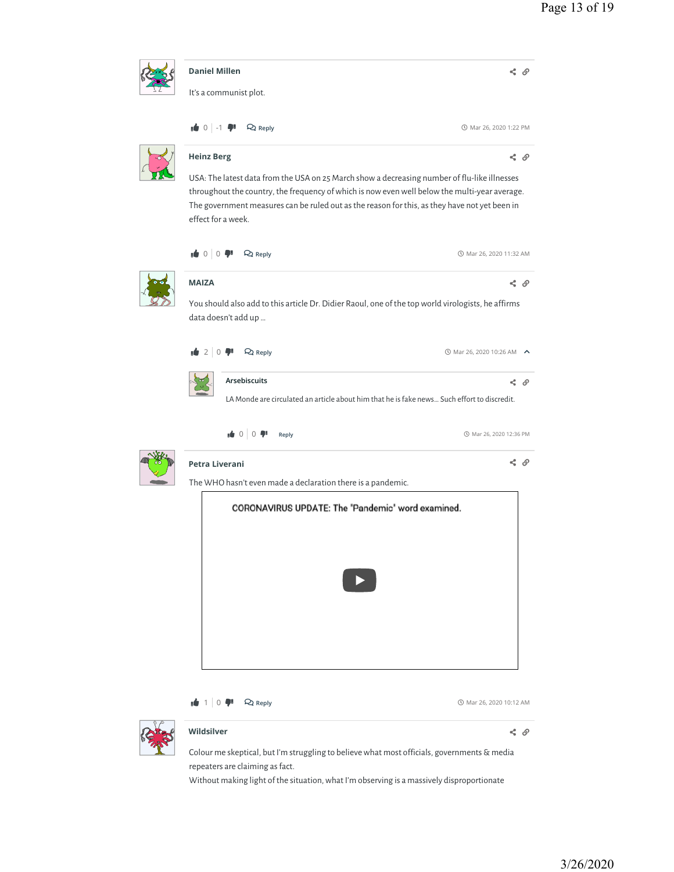



## **Wildsilver**

 $\leq$   $\circ$ 

Colour me skeptical, but I'm struggling to believe what most officials, governments & media repeaters are claiming as fact.

Without making light of the situation, what I'm observing is a massively disproportionate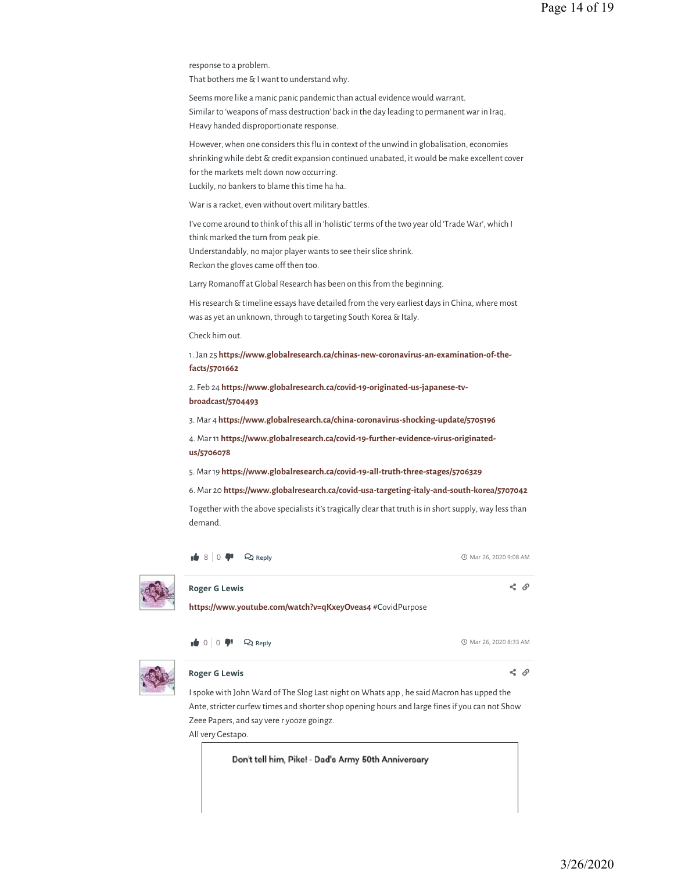response to a problem. That bothers me & I want to understand why.

Seems more like a manic panic pandemic than actual evidence would warrant. Similar to 'weapons of mass destruction' back in the day leading to permanent war in Iraq. Heavy handed disproportionate response.

However, when one considers this flu in context of the unwind in globalisation, economies shrinking while debt & credit expansion continued unabated, it would be make excellent cover for the markets melt down now occurring. Luckily, no bankers to blame this time ha ha.

War is a racket, even without overt military battles.

I've come around to think of this all in 'holistic' terms of the two year old 'Trade War', which I think marked the turn from peak pie. Understandably, no major player wants to see their slice shrink. Reckon the gloves came off then too.

Larry Romanoff at Global Research has been on this from the beginning.

His research & timeline essays have detailed from the very earliest days in China, where most was as yet an unknown, through to targeting South Korea & Italy.

Check him out.

1. Jan 25 **https://www.globalresearch.ca/chinas-new-coronavirus-an-examination-of-thefacts/5701662**

2. Feb 24 **https://www.globalresearch.ca/covid-19-originated-us-japanese-tvbroadcast/5704493**

3. Mar 4 **https://www.globalresearch.ca/china-coronavirus-shocking-update/5705196**

4. Mar 11 **https://www.globalresearch.ca/covid-19-further-evidence-virus-originatedus/5706078**

5. Mar 19 **https://www.globalresearch.ca/covid-19-all-truth-three-stages/5706329**

6. Mar 20 **https://www.globalresearch.ca/covid-usa-targeting-italy-and-south-korea/5707042**

Together with the above specialists it's tragically clear that truth is in short supply, way less than demand.

**8** 0 **P** Q Reply **Mar 26, 2020 9:08 AM** 



### **Roger G Lewis**

**https://www.youtube.com/watch?v=qKxeyOveas4** #CovidPurpose

 $\bigcup$  0 0  $\bigcup$   $\bigotimes$  Reply

0 0  **Reply** Mar 26, 2020 8:33 AM

 $\leq$   $\circ$ 

 $\leq$   $\circ$ 



#### **Roger G Lewis**

I spoke with John Ward of The Slog Last night on Whats app , he said Macron has upped the Ante, stricter curfew times and shorter shop opening hours and large fines if you can not Show Zeee Papers, and say vere r yooze goingz.

All very Gestapo.

Don't tell him, Pike! - Dad's Army 50th Anniversary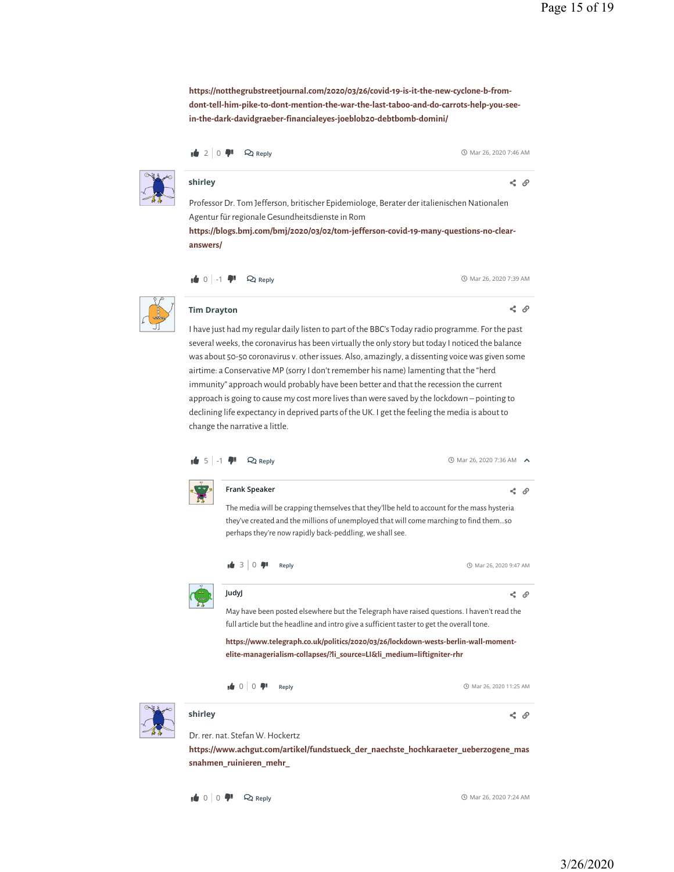**https://notthegrubstreetjournal.com/2020/03/26/covid-19-is-it-the-new-cyclone-b-fromdont-tell-him-pike-to-dont-mention-the-war-the-last-taboo-and-do-carrots-help-you-seein-the-dark-davidgraeber-financialeyes-joeblob20-debtbomb-domini/**

```
2 0 P Q Reply A Reply
```
 $\leq$   $\circ$ 

 $\leq$   $\circ$ 



**shirley**

Professor Dr. Tom Jefferson, britischer Epidemiologe, Berater der italienischen Nationalen Agentur für regionale Gesundheitsdienste in Rom

**https://blogs.bmj.com/bmj/2020/03/02/tom-jefferson-covid-19-many-questions-no-clearanswers/**

**0** -1 **P** Q Reply **Mar 26, 2020 7:39 AM** 



#### **Tim Drayton**

I have just had my regular daily listen to part of the BBC's Today radio programme. For the past several weeks, the coronavirus has been virtually the only story but today I noticed the balance was about 50-50 coronavirus v. other issues. Also, amazingly, a dissenting voice was given some airtime: a Conservative MP (sorry I don't remember his name) lamenting that the "herd immunity" approach would probably have been better and that the recession the current approach is going to cause my cost more lives than were saved by the lockdown – pointing to declining life expectancy in deprived parts of the UK. I get the feeling the media is about to change the narrative a little.



**5** Mar 26, 2020 7:36 AM



#### **Frank Speaker**

 $\leq$   $\circ$ 

The media will be crapping themselves that they'llbe held to account for the mass hysteria they've created and the millions of unemployed that will come marching to find them…so perhaps they're now rapidly back-peddling, we shall see.







# Dr. rer. nat. Stefan W. Hockertz

**https://www.achgut.com/artikel/fundstueck\_der\_naechste\_hochkaraeter\_ueberzogene\_mas snahmen\_ruinieren\_mehr\_**

**shirley**

 $\bullet$  0 0  $\bullet$   $\bullet$  Reply

 $\leq$   $\circ$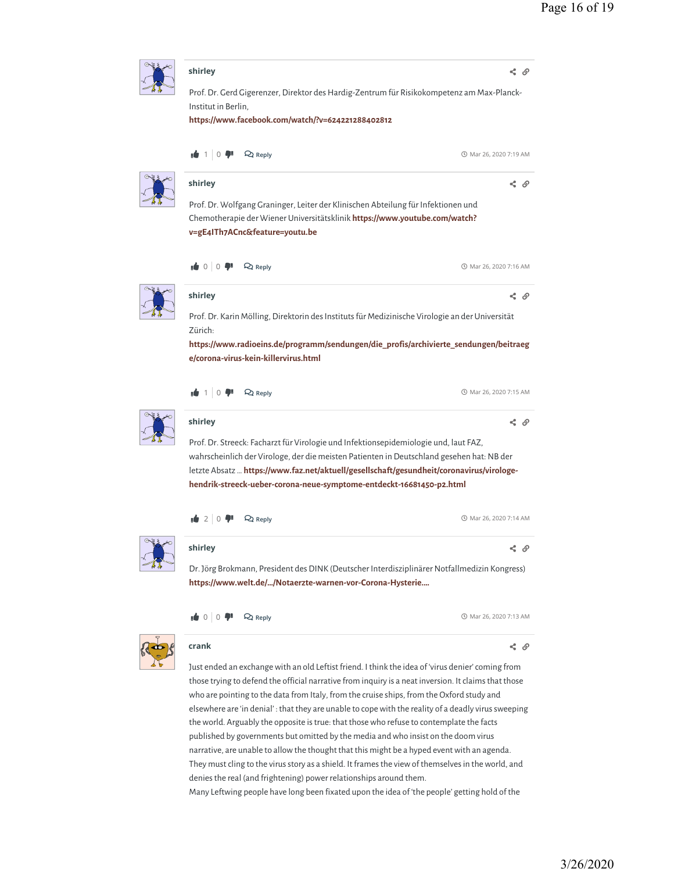

denies the real (and frightening) power relationships around them.

Many Leftwing people have long been fixated upon the idea of 'the people' getting hold of the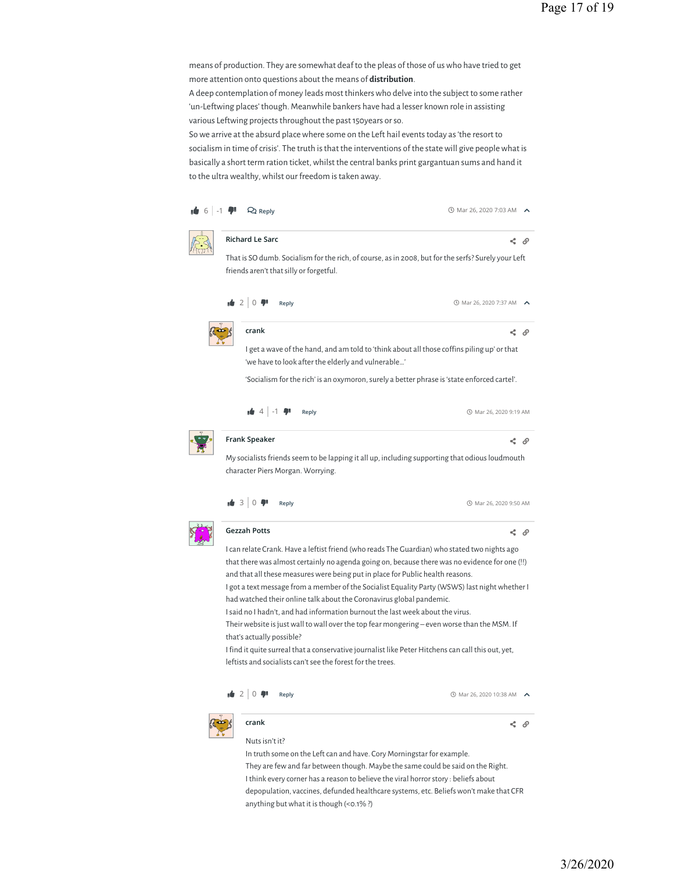means of production. They are somewhat deaf to the pleas of those of us who have tried to get more attention onto questions about the means of **distribution**.

A deep contemplation of money leads most thinkers who delve into the subject to some rather 'un-Leftwing places' though. Meanwhile bankers have had a lesser known role in assisting various Leftwing projects throughout the past 150years or so.

So we arrive at the absurd place where some on the Left hail events today as 'the resort to socialism in time of crisis'. The truth is that the interventions of the state will give people what is basically a short term ration ticket, whilst the central banks print gargantuan sums and hand it to the ultra wealthy, whilst our freedom is taken away.





**crank**  $\leq$   $\circ$ 

Nuts isn't it?

In truth some on the Left can and have. Cory Morningstar for example. They are few and far between though. Maybe the same could be said on the Right. I think every corner has a reason to believe the viral horror story : beliefs about depopulation, vaccines, defunded healthcare systems, etc. Beliefs won't make that CFR anything but what it is though (<0.1% ?)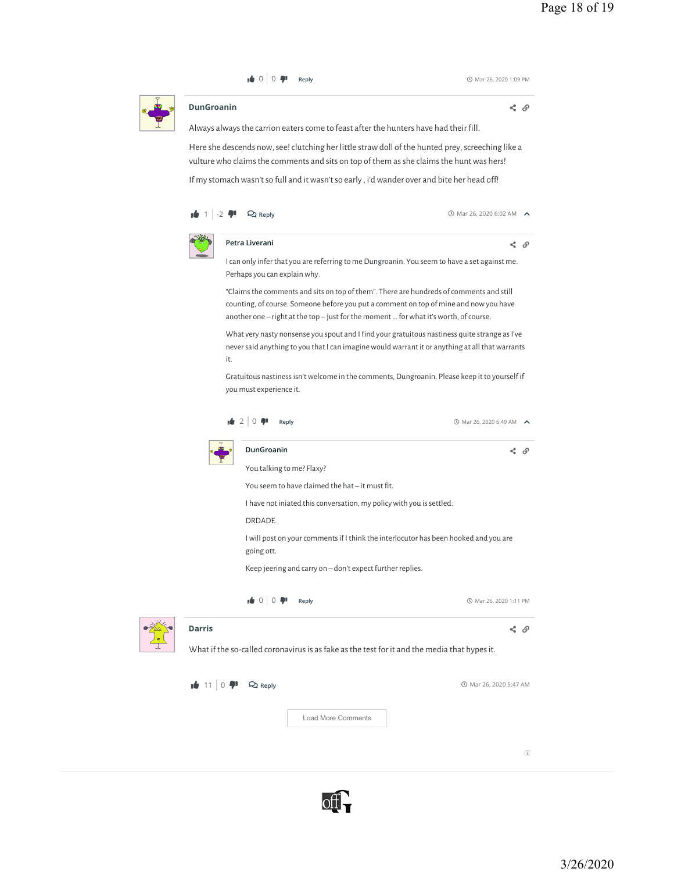|                                                                                       | <b>.6 0   0 ዎ</b> !<br>Reply                                                                                                                                                                                                                                                                 | <b>4 Mar 26, 2020 1:09 PM</b>   |  |  |  |
|---------------------------------------------------------------------------------------|----------------------------------------------------------------------------------------------------------------------------------------------------------------------------------------------------------------------------------------------------------------------------------------------|---------------------------------|--|--|--|
| <b>DunGroanin</b>                                                                     |                                                                                                                                                                                                                                                                                              | < ⊙                             |  |  |  |
| Always always the carrion eaters come to feast after the hunters have had their fill. |                                                                                                                                                                                                                                                                                              |                                 |  |  |  |
|                                                                                       | Here she descends now, see! clutching her little straw doll of the hunted prey, screeching like a<br>vulture who claims the comments and sits on top of them as she claims the hunt was hers!<br>If my stomach wasn't so full and it wasn't so early, i'd wander over and bite her head off! |                                 |  |  |  |
| 1 <sup>1</sup><br>$-2$                                                                | <b>Q</b> Reply                                                                                                                                                                                                                                                                               | <b>①</b> Mar 26, 2020 6:02 AM ▲ |  |  |  |
|                                                                                       | Petra Liverani                                                                                                                                                                                                                                                                               |                                 |  |  |  |
|                                                                                       | I can only infer that you are referring to me Dungroanin. You seem to have a set against me.<br>Perhaps you can explain why.                                                                                                                                                                 |                                 |  |  |  |
|                                                                                       | "Claims the comments and sits on top of them". There are hundreds of comments and still<br>counting, of course. Someone before you put a comment on top of mine and now you have<br>another one $-$ right at the top $-$ just for the moment  for what it's worth, of course.                |                                 |  |  |  |
| it.                                                                                   | What very nasty nonsense you spout and I find your gratuitous nastiness quite strange as I've<br>never said anything to you that I can imagine would warrant it or anything at all that warrants                                                                                             |                                 |  |  |  |
|                                                                                       | Gratuitous nastiness isn't welcome in the comments, Dungroanin. Please keep it to yourself if<br>you must experience it.                                                                                                                                                                     |                                 |  |  |  |
|                                                                                       | 4209<br>Reply                                                                                                                                                                                                                                                                                | <b>①</b> Mar 26, 2020 6:49 AM ▲ |  |  |  |
|                                                                                       | DunGroanin                                                                                                                                                                                                                                                                                   |                                 |  |  |  |
|                                                                                       | You talking to me? Flaxy?                                                                                                                                                                                                                                                                    |                                 |  |  |  |
|                                                                                       | You seem to have claimed the hat - it must fit.                                                                                                                                                                                                                                              |                                 |  |  |  |
|                                                                                       | I have not iniated this conversation, my policy with you is settled.                                                                                                                                                                                                                         |                                 |  |  |  |
|                                                                                       | DRDADE.                                                                                                                                                                                                                                                                                      |                                 |  |  |  |
|                                                                                       | I will post on your comments if I think the interlocutor has been hooked and you are<br>going ott.                                                                                                                                                                                           |                                 |  |  |  |
|                                                                                       | Keep jeering and carry on - don't expect further replies.                                                                                                                                                                                                                                    |                                 |  |  |  |
|                                                                                       | $\bullet 0$<br>Reply                                                                                                                                                                                                                                                                         | <b>4</b> Mar 26, 2020 1:11 PM   |  |  |  |
| <b>Darris</b>                                                                         |                                                                                                                                                                                                                                                                                              | < ∂                             |  |  |  |
|                                                                                       | What if the so-called coronavirus is as fake as the test for it and the media that hypes it.                                                                                                                                                                                                 |                                 |  |  |  |
| $\frac{1}{2}$ 11 0 $\frac{1}{2}$                                                      | Reply                                                                                                                                                                                                                                                                                        | <b>① Mar 26, 2020 5:47 AM</b>   |  |  |  |
|                                                                                       | <b>Load More Comments</b>                                                                                                                                                                                                                                                                    |                                 |  |  |  |
|                                                                                       |                                                                                                                                                                                                                                                                                              |                                 |  |  |  |
|                                                                                       |                                                                                                                                                                                                                                                                                              | $\circledast$                   |  |  |  |